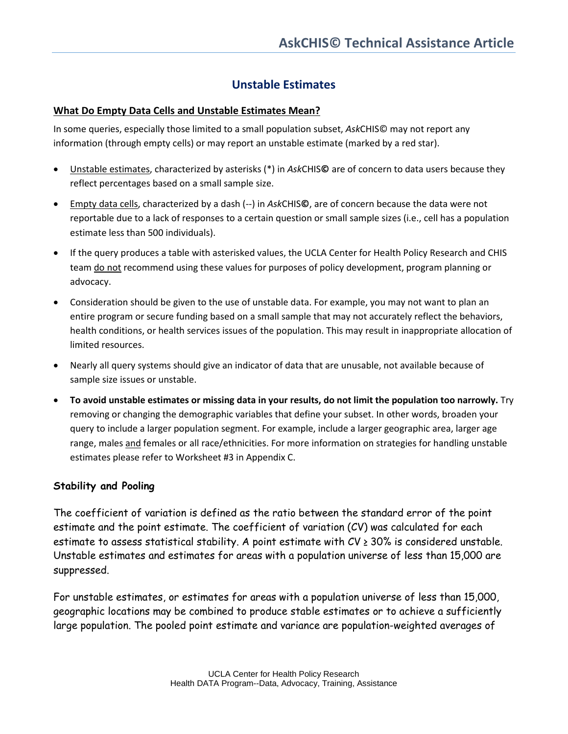## **Unstable Estimates**

## **What Do Empty Data Cells and Unstable Estimates Mean?**

In some queries, especially those limited to a small population subset, *Ask*CHIS© may not report any information (through empty cells) or may report an unstable estimate (marked by a red star).

- Unstable estimates, characterized by asterisks (\*) in *Ask*CHIS**©** are of concern to data users because they reflect percentages based on a small sample size.
- Empty data cells, characterized by a dash (--) in *Ask*CHIS**©**, are of concern because the data were not reportable due to a lack of responses to a certain question or small sample sizes (i.e., cell has a population estimate less than 500 individuals).
- If the query produces a table with asterisked values, the UCLA Center for Health Policy Research and CHIS team do not recommend using these values for purposes of policy development, program planning or advocacy.
- Consideration should be given to the use of unstable data. For example, you may not want to plan an entire program or secure funding based on a small sample that may not accurately reflect the behaviors, health conditions, or health services issues of the population. This may result in inappropriate allocation of limited resources.
- Nearly all query systems should give an indicator of data that are unusable, not available because of sample size issues or unstable.
- **To avoid unstable estimates or missing data in your results, do not limit the population too narrowly.** Try removing or changing the demographic variables that define your subset. In other words, broaden your query to include a larger population segment. For example, include a larger geographic area, larger age range, males and females or all race/ethnicities. For more information on strategies for handling unstable estimates please refer to Worksheet #3 in Appendix C.

## **Stability and Pooling**

The coefficient of variation is defined as the ratio between the standard error of the point estimate and the point estimate. The coefficient of variation (CV) was calculated for each estimate to assess statistical stability. A point estimate with  $CV \geq 30\%$  is considered unstable. Unstable estimates and estimates for areas with a population universe of less than 15,000 are suppressed.

For unstable estimates, or estimates for areas with a population universe of less than 15,000, geographic locations may be combined to produce stable estimates or to achieve a sufficiently large population. The pooled point estimate and variance are population-weighted averages of